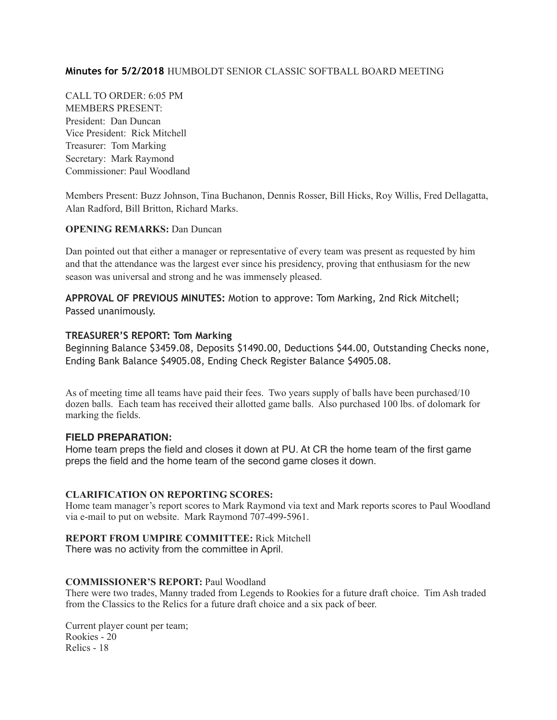#### **Minutes for 5/2/2018** HUMBOLDT SENIOR CLASSIC SOFTBALL BOARD MEETING

CALL TO ORDER: 6:05 PM MEMBERS PRESENT: President: Dan Duncan Vice President: Rick Mitchell Treasurer: Tom Marking Secretary: Mark Raymond Commissioner: Paul Woodland

Members Present: Buzz Johnson, Tina Buchanon, Dennis Rosser, Bill Hicks, Roy Willis, Fred Dellagatta, Alan Radford, Bill Britton, Richard Marks.

### **OPENING REMARKS:** Dan Duncan

Dan pointed out that either a manager or representative of every team was present as requested by him and that the attendance was the largest ever since his presidency, proving that enthusiasm for the new season was universal and strong and he was immensely pleased.

**APPROVAL OF PREVIOUS MINUTES:** Motion to approve: Tom Marking, 2nd Rick Mitchell; Passed unanimously.

#### **TREASURER'S REPORT: Tom Marking**

Beginning Balance \$3459.08, Deposits \$1490.00, Deductions \$44.00, Outstanding Checks none, Ending Bank Balance \$4905.08, Ending Check Register Balance \$4905.08.

As of meeting time all teams have paid their fees. Two years supply of balls have been purchased/10 dozen balls. Each team has received their allotted game balls. Also purchased 100 lbs. of dolomark for marking the fields.

#### **FIELD PREPARATION:**

Home team preps the field and closes it down at PU. At CR the home team of the first game preps the field and the home team of the second game closes it down.

#### **CLARIFICATION ON REPORTING SCORES:**

Home team manager's report scores to Mark Raymond via text and Mark reports scores to Paul Woodland via e-mail to put on website. Mark Raymond 707-499-5961.

#### **REPORT FROM UMPIRE COMMITTEE:** Rick Mitchell

There was no activity from the committee in April.

#### **COMMISSIONER'S REPORT:** Paul Woodland

There were two trades, Manny traded from Legends to Rookies for a future draft choice. Tim Ash traded from the Classics to the Relics for a future draft choice and a six pack of beer.

Current player count per team; Rookies - 20 Relics - 18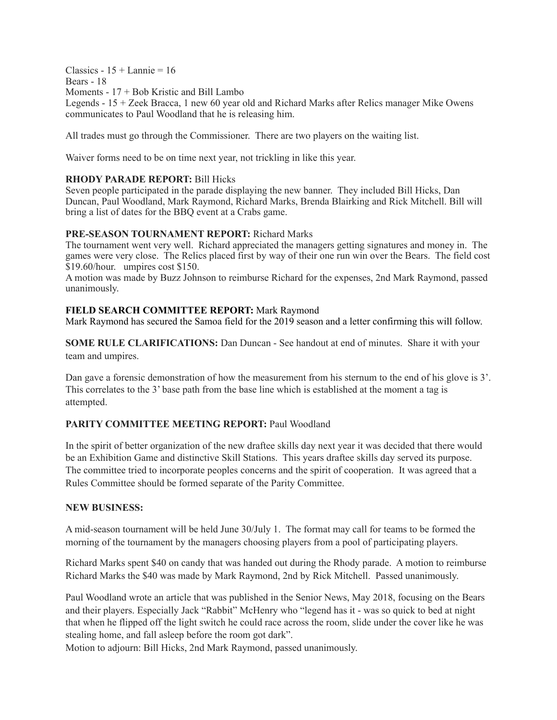$Classics - 15 + Lannie = 16$ Bears - 18 Moments - 17 + Bob Kristic and Bill Lambo

Legends - 15 + Zeek Bracca, 1 new 60 year old and Richard Marks after Relics manager Mike Owens communicates to Paul Woodland that he is releasing him.

All trades must go through the Commissioner. There are two players on the waiting list.

Waiver forms need to be on time next year, not trickling in like this year.

#### **RHODY PARADE REPORT:** Bill Hicks

Seven people participated in the parade displaying the new banner. They included Bill Hicks, Dan Duncan, Paul Woodland, Mark Raymond, Richard Marks, Brenda Blairking and Rick Mitchell. Bill will bring a list of dates for the BBQ event at a Crabs game.

#### **PRE-SEASON TOURNAMENT REPORT:** Richard Marks

The tournament went very well. Richard appreciated the managers getting signatures and money in. The games were very close. The Relics placed first by way of their one run win over the Bears. The field cost \$19.60/hour. umpires cost \$150.

A motion was made by Buzz Johnson to reimburse Richard for the expenses, 2nd Mark Raymond, passed unanimously.

#### **FIELD SEARCH COMMITTEE REPORT:** Mark Raymond

Mark Raymond has secured the Samoa field for the 2019 season and a letter confirming this will follow.

**SOME RULE CLARIFICATIONS:** Dan Duncan - See handout at end of minutes. Share it with your team and umpires.

Dan gave a forensic demonstration of how the measurement from his sternum to the end of his glove is 3'. This correlates to the 3' base path from the base line which is established at the moment a tag is attempted.

#### **PARITY COMMITTEE MEETING REPORT:** Paul Woodland

In the spirit of better organization of the new draftee skills day next year it was decided that there would be an Exhibition Game and distinctive Skill Stations. This years draftee skills day served its purpose. The committee tried to incorporate peoples concerns and the spirit of cooperation. It was agreed that a Rules Committee should be formed separate of the Parity Committee.

#### **NEW BUSINESS:**

A mid-season tournament will be held June 30/July 1. The format may call for teams to be formed the morning of the tournament by the managers choosing players from a pool of participating players.

Richard Marks spent \$40 on candy that was handed out during the Rhody parade. A motion to reimburse Richard Marks the \$40 was made by Mark Raymond, 2nd by Rick Mitchell. Passed unanimously.

Paul Woodland wrote an article that was published in the Senior News, May 2018, focusing on the Bears and their players. Especially Jack "Rabbit" McHenry who "legend has it - was so quick to bed at night that when he flipped off the light switch he could race across the room, slide under the cover like he was stealing home, and fall asleep before the room got dark".

Motion to adjourn: Bill Hicks, 2nd Mark Raymond, passed unanimously.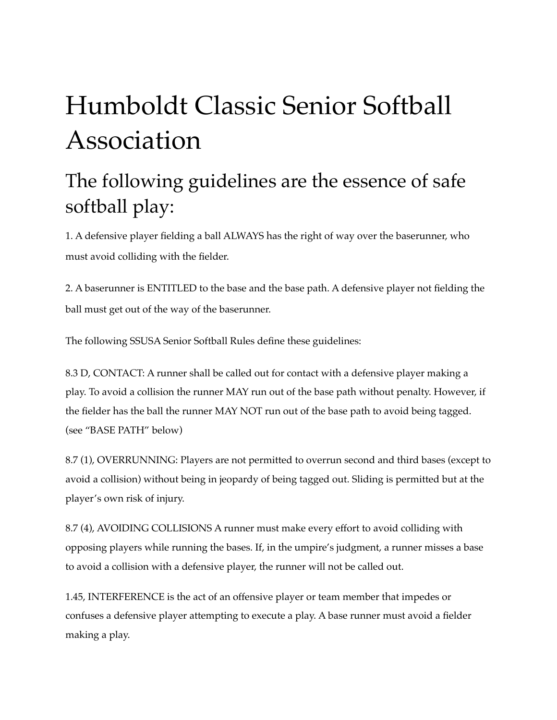# Humboldt Classic Senior Softball Association

## The following guidelines are the essence of safe softball play:

1. A defensive player fielding a ball ALWAYS has the right of way over the baserunner, who must avoid colliding with the fielder.

2. A baserunner is ENTITLED to the base and the base path. A defensive player not fielding the ball must get out of the way of the baserunner.

The following SSUSA Senior Softball Rules define these guidelines:

8.3 D, CONTACT: A runner shall be called out for contact with a defensive player making a play. To avoid a collision the runner MAY run out of the base path without penalty. However, if the fielder has the ball the runner MAY NOT run out of the base path to avoid being tagged. (see "BASE PATH" below)

8.7 (1), OVERRUNNING: Players are not permitted to overrun second and third bases (except to avoid a collision) without being in jeopardy of being tagged out. Sliding is permitted but at the player's own risk of injury.

8.7 (4), AVOIDING COLLISIONS A runner must make every effort to avoid colliding with opposing players while running the bases. If, in the umpire's judgment, a runner misses a base to avoid a collision with a defensive player, the runner will not be called out.

1.45, INTERFERENCE is the act of an offensive player or team member that impedes or confuses a defensive player attempting to execute a play. A base runner must avoid a fielder making a play.